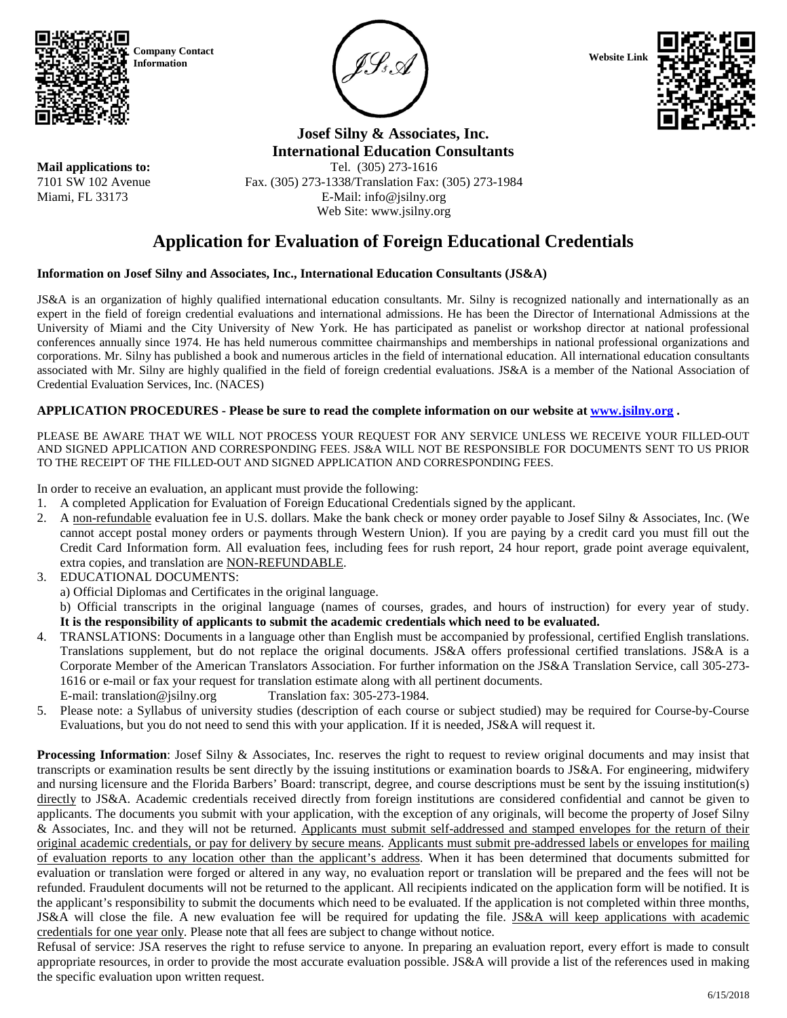

**Mail applications to:** 7101 SW 102 Avenue Miami, FL 33173





**Josef Silny & Associates, Inc. International Education Consultants** Tel. (305) 273-1616

Fax. (305) 273-1338/Translation Fax: (305) 273-1984 E-Mail: info@jsilny.org Web Site: www.jsilny.org

# **Application for Evaluation of Foreign Educational Credentials**

# **Information on Josef Silny and Associates, Inc., International Education Consultants (JS&A)**

JS&A is an organization of highly qualified international education consultants. Mr. Silny is recognized nationally and internationally as an expert in the field of foreign credential evaluations and international admissions. He has been the Director of International Admissions at the University of Miami and the City University of New York. He has participated as panelist or workshop director at national professional conferences annually since 1974. He has held numerous committee chairmanships and memberships in national professional organizations and corporations. Mr. Silny has published a book and numerous articles in the field of international education. All international education consultants associated with Mr. Silny are highly qualified in the field of foreign credential evaluations. JS&A is a member of the National Association of Credential Evaluation Services, Inc. (NACES)

# **APPLICATION PROCEDURES - Please be sure to read the complete information on our website a[t www.jsilny.org](http://www.jsilny.org/) .**

PLEASE BE AWARE THAT WE WILL NOT PROCESS YOUR REQUEST FOR ANY SERVICE UNLESS WE RECEIVE YOUR FILLED-OUT AND SIGNED APPLICATION AND CORRESPONDING FEES. JS&A WILL NOT BE RESPONSIBLE FOR DOCUMENTS SENT TO US PRIOR TO THE RECEIPT OF THE FILLED-OUT AND SIGNED APPLICATION AND CORRESPONDING FEES.

In order to receive an evaluation, an applicant must provide the following:

- 1. A completed Application for Evaluation of Foreign Educational Credentials signed by the applicant.
- 2. A non-refundable evaluation fee in U.S. dollars. Make the bank check or money order payable to Josef Silny & Associates, Inc. (We cannot accept postal money orders or payments through Western Union). If you are paying by a credit card you must fill out the Credit Card Information form. All evaluation fees, including fees for rush report, 24 hour report, grade point average equivalent, extra copies, and translation are NON-REFUNDABLE.
- 3. EDUCATIONAL DOCUMENTS:
	- a) Official Diplomas and Certificates in the original language.
	- b) Official transcripts in the original language (names of courses, grades, and hours of instruction) for every year of study. **It is the responsibility of applicants to submit the academic credentials which need to be evaluated.**
- 4. TRANSLATIONS: Documents in a language other than English must be accompanied by professional, certified English translations. Translations supplement, but do not replace the original documents. JS&A offers professional certified translations. JS&A is a Corporate Member of the American Translators Association. For further information on the JS&A Translation Service, call 305-273- 1616 or e-mail or fax your request for translation estimate along with all pertinent documents. E-mail: translation@isilny.org Translation fax: 305-273-1984.
- 5. Please note: a Syllabus of university studies (description of each course or subject studied) may be required for Course-by-Course Evaluations, but you do not need to send this with your application. If it is needed, JS&A will request it.

**Processing Information**: Josef Silny & Associates, Inc. reserves the right to request to review original documents and may insist that transcripts or examination results be sent directly by the issuing institutions or examination boards to JS&A. For engineering, midwifery and nursing licensure and the Florida Barbers' Board: transcript, degree, and course descriptions must be sent by the issuing institution(s) directly to JS&A. Academic credentials received directly from foreign institutions are considered confidential and cannot be given to applicants. The documents you submit with your application, with the exception of any originals, will become the property of Josef Silny & Associates, Inc. and they will not be returned. Applicants must submit self-addressed and stamped envelopes for the return of their original academic credentials, or pay for delivery by secure means. Applicants must submit pre-addressed labels or envelopes for mailing of evaluation reports to any location other than the applicant's address. When it has been determined that documents submitted for evaluation or translation were forged or altered in any way, no evaluation report or translation will be prepared and the fees will not be refunded. Fraudulent documents will not be returned to the applicant. All recipients indicated on the application form will be notified. It is the applicant's responsibility to submit the documents which need to be evaluated. If the application is not completed within three months, JS&A will close the file. A new evaluation fee will be required for updating the file. JS&A will keep applications with academic credentials for one year only. Please note that all fees are subject to change without notice.

Refusal of service: JSA reserves the right to refuse service to anyone. In preparing an evaluation report, every effort is made to consult appropriate resources, in order to provide the most accurate evaluation possible. JS&A will provide a list of the references used in making the specific evaluation upon written request.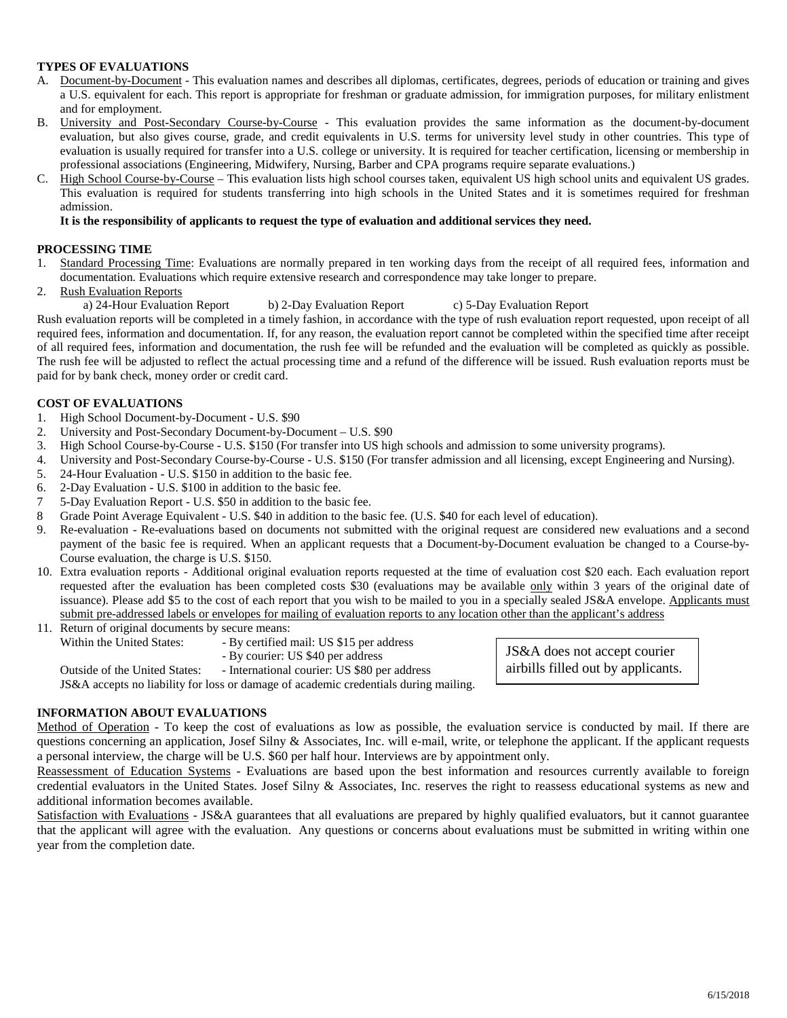## **TYPES OF EVALUATIONS**

- A. Document-by-Document This evaluation names and describes all diplomas, certificates, degrees, periods of education or training and gives a U.S. equivalent for each. This report is appropriate for freshman or graduate admission, for immigration purposes, for military enlistment and for employment.
- B. University and Post-Secondary Course-by-Course This evaluation provides the same information as the document-by-document evaluation, but also gives course, grade, and credit equivalents in U.S. terms for university level study in other countries. This type of evaluation is usually required for transfer into a U.S. college or university. It is required for teacher certification, licensing or membership in professional associations (Engineering, Midwifery, Nursing, Barber and CPA programs require separate evaluations.)
- C. High School Course-by-Course This evaluation lists high school courses taken, equivalent US high school units and equivalent US grades. This evaluation is required for students transferring into high schools in the United States and it is sometimes required for freshman admission.

#### **It is the responsibility of applicants to request the type of evaluation and additional services they need.**

#### **PROCESSING TIME**

- 1. Standard Processing Time: Evaluations are normally prepared in ten working days from the receipt of all required fees, information and documentation. Evaluations which require extensive research and correspondence may take longer to prepare.
- 2. Rush Evaluation Reports

a) 24-Hour Evaluation Report b) 2-Day Evaluation Report c) 5-Day Evaluation Report Rush evaluation reports will be completed in a timely fashion, in accordance with the type of rush evaluation report requested, upon receipt of all required fees, information and documentation. If, for any reason, the evaluation report cannot be completed within the specified time after receipt

of all required fees, information and documentation, the rush fee will be refunded and the evaluation will be completed as quickly as possible. The rush fee will be adjusted to reflect the actual processing time and a refund of the difference will be issued. Rush evaluation reports must be paid for by bank check, money order or credit card.

#### **COST OF EVALUATIONS**

- 1. High School Document-by-Document U.S. \$90
- 2. University and Post-Secondary Document-by-Document U.S. \$90
- 3. High School Course-by-Course U.S. \$150 (For transfer into US high schools and admission to some university programs).
- 4. University and Post-Secondary Course-by-Course U.S. \$150 (For transfer admission and all licensing, except Engineering and Nursing).
- 5. 24-Hour Evaluation U.S. \$150 in addition to the basic fee.
- 6. 2-Day Evaluation U.S. \$100 in addition to the basic fee.
- 7 5-Day Evaluation Report U.S. \$50 in addition to the basic fee.
- 8 Grade Point Average Equivalent U.S. \$40 in addition to the basic fee. (U.S. \$40 for each level of education).
- 9. Re-evaluation Re-evaluations based on documents not submitted with the original request are considered new evaluations and a second payment of the basic fee is required. When an applicant requests that a Document-by-Document evaluation be changed to a Course-by-Course evaluation, the charge is U.S. \$150.
- 10. Extra evaluation reports Additional original evaluation reports requested at the time of evaluation cost \$20 each. Each evaluation report requested after the evaluation has been completed costs \$30 (evaluations may be available only within 3 years of the original date of issuance). Please add \$5 to the cost of each report that you wish to be mailed to you in a specially sealed JS&A envelope. Applicants must submit pre-addressed labels or envelopes for mailing of evaluation reports to any location other than the applicant's address

| 11. Return of original documents by secure means: |                                              |  |  |  |  |
|---------------------------------------------------|----------------------------------------------|--|--|--|--|
| Within the United States:                         | - By certified mail: US \$15 per address     |  |  |  |  |
|                                                   | - By courier: US \$40 per address            |  |  |  |  |
| Outside of the United States:                     | - International courier: US \$80 per address |  |  |  |  |

JS&A accepts no liability for loss or damage of academic credentials during mailing.

## **INFORMATION ABOUT EVALUATIONS**

Method of Operation - To keep the cost of evaluations as low as possible, the evaluation service is conducted by mail. If there are questions concerning an application, Josef Silny & Associates, Inc. will e-mail, write, or telephone the applicant. If the applicant requests a personal interview, the charge will be U.S. \$60 per half hour. Interviews are by appointment only.

Reassessment of Education Systems - Evaluations are based upon the best information and resources currently available to foreign credential evaluators in the United States. Josef Silny & Associates, Inc. reserves the right to reassess educational systems as new and additional information becomes available.

Satisfaction with Evaluations - JS&A guarantees that all evaluations are prepared by highly qualified evaluators, but it cannot guarantee that the applicant will agree with the evaluation. Any questions or concerns about evaluations must be submitted in writing within one year from the completion date.

JS&A does not accept courier airbills filled out by applicants.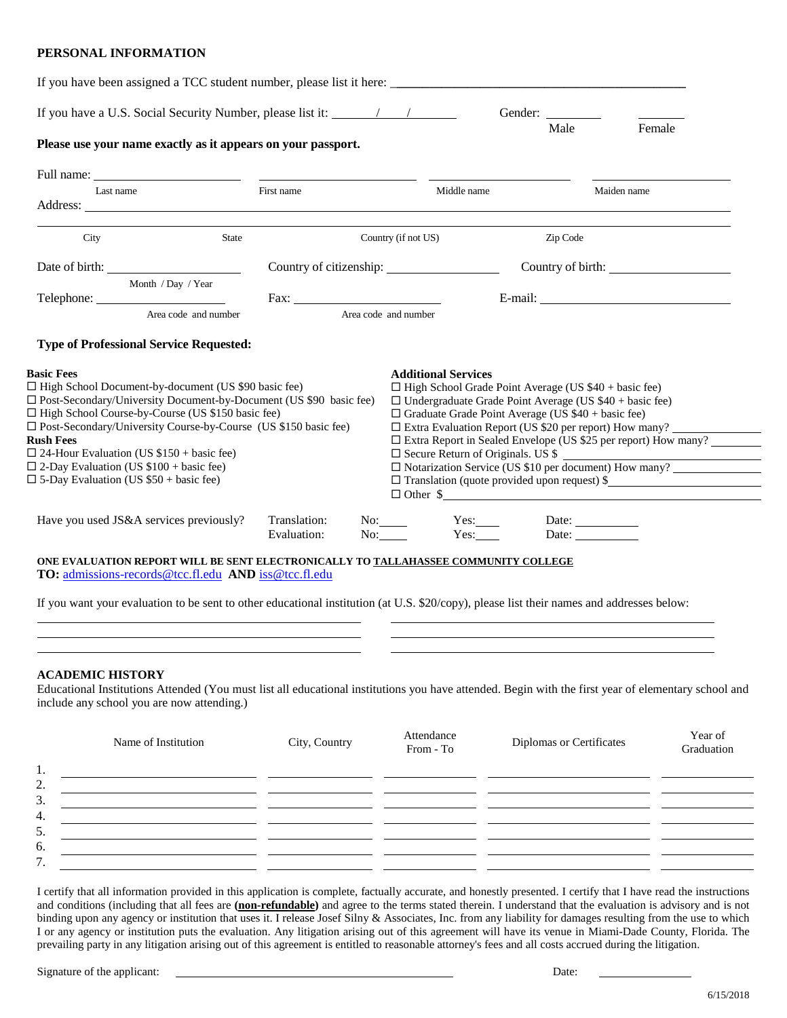#### **PERSONAL INFORMATION**

| Please use your name exactly as it appears on your passport.                                                                                                                                                                                                                                                                                                                                                                                                                                                 |                      |            |                                                                                                                                                                                                                                                                                                                                                              | Male     | Female                                                                                                                                                                                  |
|--------------------------------------------------------------------------------------------------------------------------------------------------------------------------------------------------------------------------------------------------------------------------------------------------------------------------------------------------------------------------------------------------------------------------------------------------------------------------------------------------------------|----------------------|------------|--------------------------------------------------------------------------------------------------------------------------------------------------------------------------------------------------------------------------------------------------------------------------------------------------------------------------------------------------------------|----------|-----------------------------------------------------------------------------------------------------------------------------------------------------------------------------------------|
| Last name                                                                                                                                                                                                                                                                                                                                                                                                                                                                                                    |                      | First name | Middle name                                                                                                                                                                                                                                                                                                                                                  |          | Maiden name                                                                                                                                                                             |
| City                                                                                                                                                                                                                                                                                                                                                                                                                                                                                                         | State                |            | Country (if not US)                                                                                                                                                                                                                                                                                                                                          | Zip Code |                                                                                                                                                                                         |
|                                                                                                                                                                                                                                                                                                                                                                                                                                                                                                              |                      |            |                                                                                                                                                                                                                                                                                                                                                              |          | Country of birth:                                                                                                                                                                       |
| Month / Day / Year                                                                                                                                                                                                                                                                                                                                                                                                                                                                                           |                      |            |                                                                                                                                                                                                                                                                                                                                                              |          |                                                                                                                                                                                         |
| <b>Type of Professional Service Requested:</b><br><b>Basic Fees</b><br>□ High School Document-by-document (US \$90 basic fee)<br>□ Post-Secondary/University Document-by-Document (US \$90 basic fee)<br>□ High School Course-by-Course (US \$150 basic fee)<br>□ Post-Secondary/University Course-by-Course (US \$150 basic fee)<br><b>Rush Fees</b><br>$\Box$ 24-Hour Evaluation (US \$150 + basic fee)<br>$\Box$ 2-Day Evaluation (US \$100 + basic fee)<br>$\Box$ 5-Day Evaluation (US \$50 + basic fee) | Area code and number | Fax: Fax:  | Area code and number<br><b>Additional Services</b><br>$\Box$ High School Grade Point Average (US \$40 + basic fee)<br>$\Box$ Undergraduate Grade Point Average (US \$40 + basic fee)<br>$\Box$ Graduate Grade Point Average (US \$40 + basic fee)<br>$\square$ Extra Evaluation Report (US \$20 per report) How many?<br>□ Secure Return of Originals. US \$ |          | □ Extra Report in Sealed Envelope (US \$25 per report) How many?<br>$\Box$ Notarization Service (US \$10 per document) How many?<br>$\Box$ Translation (quote provided upon request) \$ |

#### **ACADEMIC HISTORY**

Educational Institutions Attended (You must list all educational institutions you have attended. Begin with the first year of elementary school and include any school you are now attending.)

| Name of Institution<br>City, Country | Year of<br>Attendance<br>Diplomas or Certificates<br>Graduation<br>From - To |
|--------------------------------------|------------------------------------------------------------------------------|
| 1.                                   |                                                                              |
| 2.                                   |                                                                              |
| 3.                                   |                                                                              |
| 4.                                   |                                                                              |
| 5.                                   |                                                                              |
| 6.                                   |                                                                              |
| 7.                                   |                                                                              |

I certify that all information provided in this application is complete, factually accurate, and honestly presented. I certify that I have read the instructions and conditions (including that all fees are **(non-refundable)** and agree to the terms stated therein. I understand that the evaluation is advisory and is not binding upon any agency or institution that uses it. I release Josef Silny & Associates, Inc. from any liability for damages resulting from the use to which I or any agency or institution puts the evaluation. Any litigation arising out of this agreement will have its venue in Miami-Dade County, Florida. The prevailing party in any litigation arising out of this agreement is entitled to reasonable attorney's fees and all costs accrued during the litigation.

Signature of the applicant: <u>Date:</u> Date: Date: Date: Date: Date: Date: Date: Date: Date: Date: Date: Date: Date: Date: Date: Date: Date: Date: Date: Date: Date: Date: Date: Date: Date: Date: Date: Date: Date: Date: Date: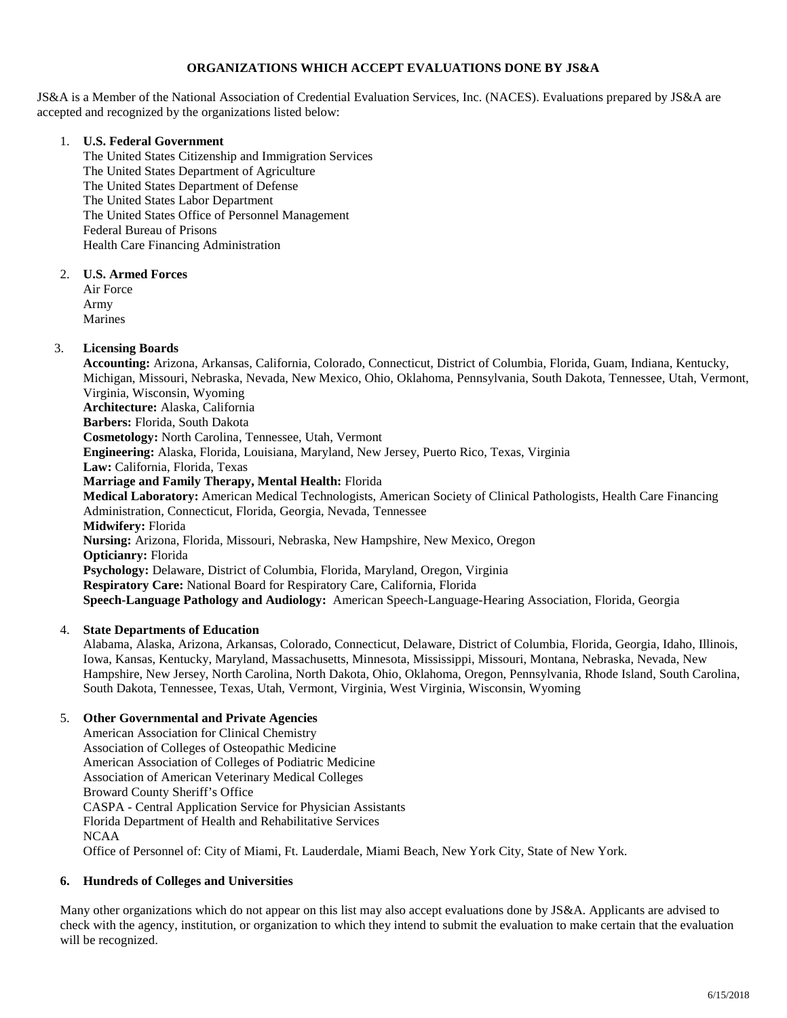# **ORGANIZATIONS WHICH ACCEPT EVALUATIONS DONE BY JS&A**

JS&A is a Member of the National Association of Credential Evaluation Services, Inc. (NACES). Evaluations prepared by JS&A are accepted and recognized by the organizations listed below:

## 1. **U.S. Federal Government**

The United States Citizenship and Immigration Services The United States Department of Agriculture The United States Department of Defense The United States Labor Department The United States Office of Personnel Management Federal Bureau of Prisons Health Care Financing Administration

#### 2. **U.S. Armed Forces**

Air Force Army Marines

# 3. **Licensing Boards**

**Accounting:** Arizona, Arkansas, California, Colorado, Connecticut, District of Columbia, Florida, Guam, Indiana, Kentucky, Michigan, Missouri, Nebraska, Nevada, New Mexico, Ohio, Oklahoma, Pennsylvania, South Dakota, Tennessee, Utah, Vermont, Virginia, Wisconsin, Wyoming **Architecture:** Alaska, California **Barbers:** Florida, South Dakota **Cosmetology:** North Carolina, Tennessee, Utah, Vermont **Engineering:** Alaska, Florida, Louisiana, Maryland, New Jersey, Puerto Rico, Texas, Virginia **Law:** California, Florida, Texas **Marriage and Family Therapy, Mental Health:** Florida **Medical Laboratory:** American Medical Technologists, American Society of Clinical Pathologists, Health Care Financing Administration, Connecticut, Florida, Georgia, Nevada, Tennessee **Midwifery:** Florida **Nursing:** Arizona, Florida, Missouri, Nebraska, New Hampshire, New Mexico, Oregon **Opticianry:** Florida **Psychology:** Delaware, District of Columbia, Florida, Maryland, Oregon, Virginia **Respiratory Care:** National Board for Respiratory Care, California, Florida **Speech-Language Pathology and Audiology:** American Speech-Language-Hearing Association, Florida, Georgia

# 4. **State Departments of Education**

Alabama, Alaska, Arizona, Arkansas, Colorado, Connecticut, Delaware, District of Columbia, Florida, Georgia, Idaho, Illinois, Iowa, Kansas, Kentucky, Maryland, Massachusetts, Minnesota, Mississippi, Missouri, Montana, Nebraska, Nevada, New Hampshire, New Jersey, North Carolina, North Dakota, Ohio, Oklahoma, Oregon, Pennsylvania, Rhode Island, South Carolina, South Dakota, Tennessee, Texas, Utah, Vermont, Virginia, West Virginia, Wisconsin, Wyoming

# 5. **Other Governmental and Private Agencies**

American Association for Clinical Chemistry Association of Colleges of Osteopathic Medicine American Association of Colleges of Podiatric Medicine Association of American Veterinary Medical Colleges Broward County Sheriff's Office CASPA - Central Application Service for Physician Assistants Florida Department of Health and Rehabilitative Services NCAA Office of Personnel of: City of Miami, Ft. Lauderdale, Miami Beach, New York City, State of New York.

# **6. Hundreds of Colleges and Universities**

Many other organizations which do not appear on this list may also accept evaluations done by JS&A. Applicants are advised to check with the agency, institution, or organization to which they intend to submit the evaluation to make certain that the evaluation will be recognized.